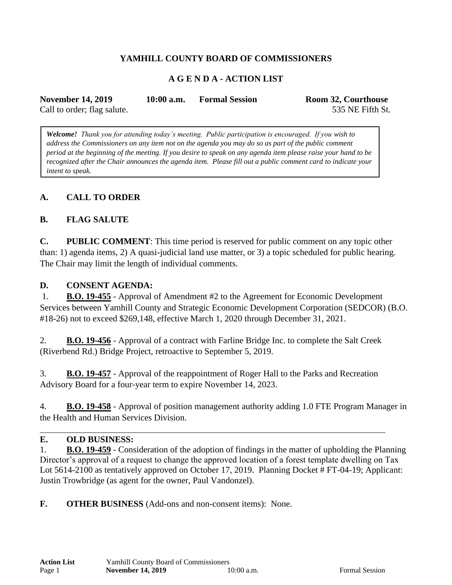# **YAMHILL COUNTY BOARD OF COMMISSIONERS**

# **A G E N D A - ACTION LIST**

| <b>November 14, 2019</b>    | $10:00$ a.m. | <b>Formal Session</b> | Room 32, Courthouse |
|-----------------------------|--------------|-----------------------|---------------------|
| Call to order; flag salute. |              |                       | 535 NE Fifth St.    |

*Welcome! Thank you for attending today's meeting. Public participation is encouraged. If you wish to address the Commissioners on any item not on the agenda you may do so as part of the public comment period at the beginning of the meeting. If you desire to speak on any agenda item please raise your hand to be recognized after the Chair announces the agenda item. Please fill out a public comment card to indicate your intent to speak.*

## **A. CALL TO ORDER**

### **B. FLAG SALUTE**

**C. PUBLIC COMMENT**: This time period is reserved for public comment on any topic other than: 1) agenda items, 2) A quasi-judicial land use matter, or 3) a topic scheduled for public hearing. The Chair may limit the length of individual comments.

#### **D. CONSENT AGENDA:**

1. **B.O. 19-455** - Approval of Amendment #2 to the Agreement for Economic Development Services between Yamhill County and Strategic Economic Development Corporation (SEDCOR) (B.O. #18-26) not to exceed \$269,148, effective March 1, 2020 through December 31, 2021.

2. **B.O. 19-456** - Approval of a contract with Farline Bridge Inc. to complete the Salt Creek (Riverbend Rd.) Bridge Project, retroactive to September 5, 2019.

3. **B.O. 19-457** - Approval of the reappointment of Roger Hall to the Parks and Recreation Advisory Board for a four-year term to expire November 14, 2023.

4. **B.O. 19-458** - Approval of position management authority adding 1.0 FTE Program Manager in the Health and Human Services Division.

#### **E. OLD BUSINESS:**

1. **B.O. 19-459** - Consideration of the adoption of findings in the matter of upholding the Planning Director's approval of a request to change the approved location of a forest template dwelling on Tax Lot 5614-2100 as tentatively approved on October 17, 2019. Planning Docket # FT-04-19; Applicant: Justin Trowbridge (as agent for the owner, Paul Vandonzel).

**F. OTHER BUSINESS** (Add-ons and non-consent items): None.